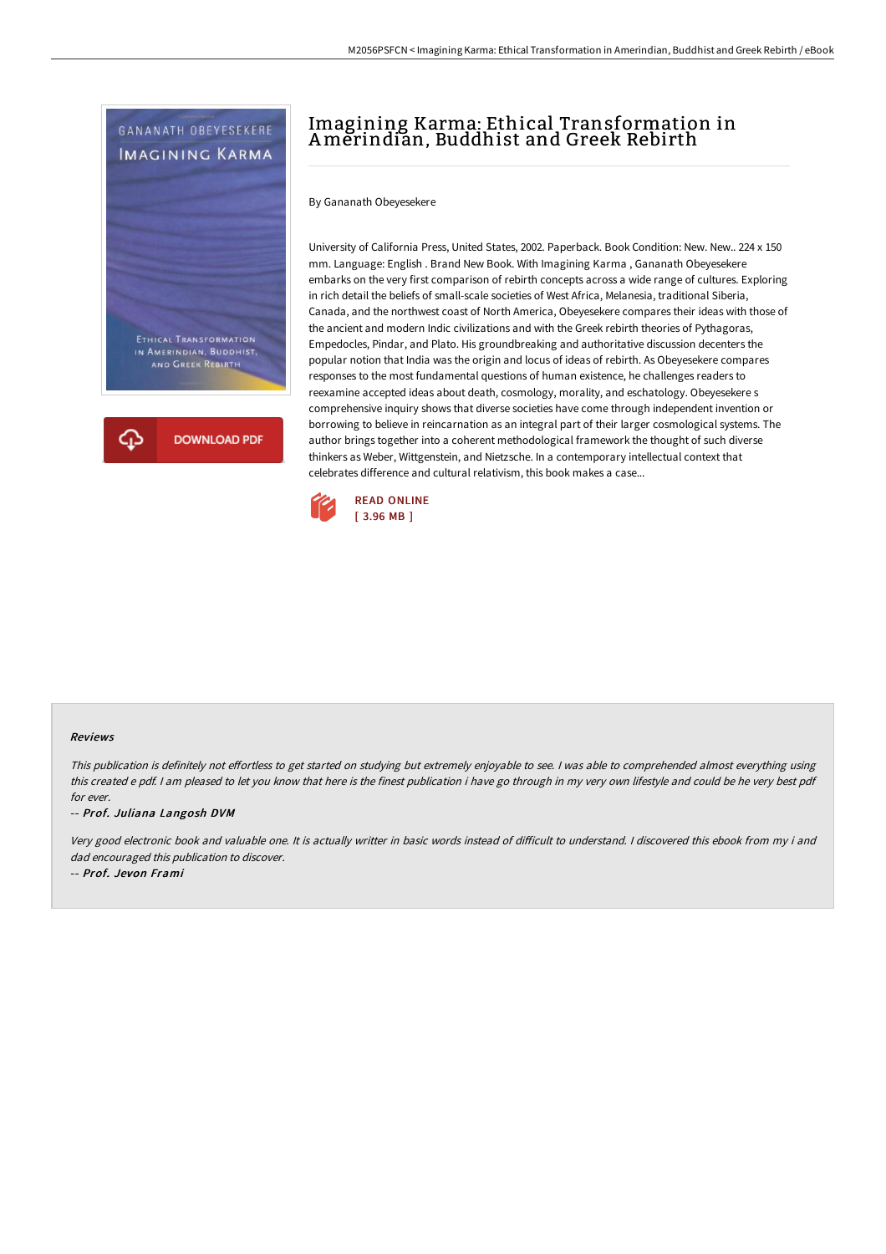



## Imagining Karma: Ethical Transformation in Amerindian, Buddhist and Greek Rebirth

By Gananath Obeyesekere

University of California Press, United States, 2002. Paperback. Book Condition: New. New.. 224 x 150 mm. Language: English . Brand New Book. With Imagining Karma , Gananath Obeyesekere embarks on the very first comparison of rebirth concepts across a wide range of cultures. Exploring in rich detail the beliefs of small-scale societies of West Africa, Melanesia, traditional Siberia, Canada, and the northwest coast of North America, Obeyesekere compares their ideas with those of the ancient and modern Indic civilizations and with the Greek rebirth theories of Pythagoras, Empedocles, Pindar, and Plato. His groundbreaking and authoritative discussion decenters the popular notion that India was the origin and locus of ideas of rebirth. As Obeyesekere compares responses to the most fundamental questions of human existence, he challenges readers to reexamine accepted ideas about death, cosmology, morality, and eschatology. Obeyesekere s comprehensive inquiry shows that diverse societies have come through independent invention or borrowing to believe in reincarnation as an integral part of their larger cosmological systems. The author brings together into a coherent methodological framework the thought of such diverse thinkers as Weber, Wittgenstein, and Nietzsche. In a contemporary intellectual context that celebrates difference and cultural relativism, this book makes a case...



## Reviews

This publication is definitely not effortless to get started on studying but extremely enjoyable to see. I was able to comprehended almost everything using this created <sup>e</sup> pdf. <sup>I</sup> am pleased to let you know that here is the finest publication i have go through in my very own lifestyle and could be he very best pdf for ever.

-- Prof. Juliana Langosh DVM

Very good electronic book and valuable one. It is actually writter in basic words instead of difficult to understand. I discovered this ebook from my i and dad encouraged this publication to discover.

-- Prof. Jevon Frami